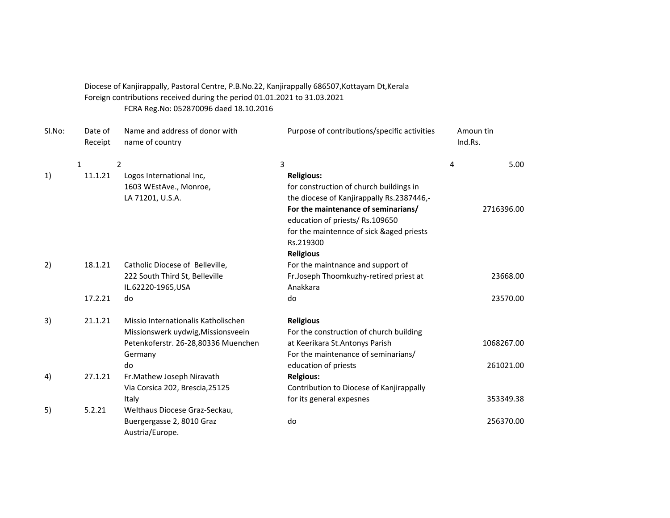Diocese of Kanjirappally, Pastoral Centre, P.B.No.22, Kanjirappally 686507,Kottayam Dt,Kerala Foreign contributions received during the period 01.01.2021 to 31.03.2021 FCRA Reg.No: 052870096 daed 18.10.2016

| Sl.No: | Date of<br>Receipt | Name and address of donor with<br>name of country | Purpose of contributions/specific activities                          | Amoun tin<br>Ind.Rs. |
|--------|--------------------|---------------------------------------------------|-----------------------------------------------------------------------|----------------------|
|        | $\mathbf{1}$       | 2                                                 | 3                                                                     | 5.00<br>4            |
| 1)     | 11.1.21            | Logos International Inc,                          | <b>Religious:</b>                                                     |                      |
|        |                    | 1603 WEstAve., Monroe,                            | for construction of church buildings in                               |                      |
|        |                    | LA 71201, U.S.A.                                  | the diocese of Kanjirappally Rs.2387446,-                             |                      |
|        |                    |                                                   | For the maintenance of seminarians/<br>education of priests/Rs.109650 | 2716396.00           |
|        |                    |                                                   | for the maintennce of sick &aged priests                              |                      |
|        |                    |                                                   | Rs.219300                                                             |                      |
|        |                    |                                                   | <b>Religious</b>                                                      |                      |
| 2)     | 18.1.21            | Catholic Diocese of Belleville,                   | For the maintnance and support of                                     |                      |
|        |                    | 222 South Third St, Belleville                    | Fr.Joseph Thoomkuzhy-retired priest at                                | 23668.00             |
|        |                    | IL.62220-1965, USA                                | Anakkara                                                              |                      |
|        | 17.2.21            | do                                                | do                                                                    | 23570.00             |
| 3)     | 21.1.21            | Missio Internationalis Katholischen               | <b>Religious</b>                                                      |                      |
|        |                    | Missionswerk uydwig, Missionsveein                | For the construction of church building                               |                      |
|        |                    | Petenkoferstr. 26-28,80336 Muenchen               | at Keerikara St. Antonys Parish                                       | 1068267.00           |
|        |                    | Germany                                           | For the maintenance of seminarians/                                   |                      |
|        |                    | do                                                | education of priests                                                  | 261021.00            |
| 4)     | 27.1.21            | Fr.Mathew Joseph Niravath                         | <b>Relgious:</b>                                                      |                      |
|        |                    | Via Corsica 202, Brescia, 25125                   | Contribution to Diocese of Kanjirappally                              |                      |
|        |                    | Italy                                             | for its general expesnes                                              | 353349.38            |
| 5)     | 5.2.21             | Welthaus Diocese Graz-Seckau,                     |                                                                       |                      |
|        |                    | Buergergasse 2, 8010 Graz                         | do                                                                    | 256370.00            |
|        |                    | Austria/Europe.                                   |                                                                       |                      |